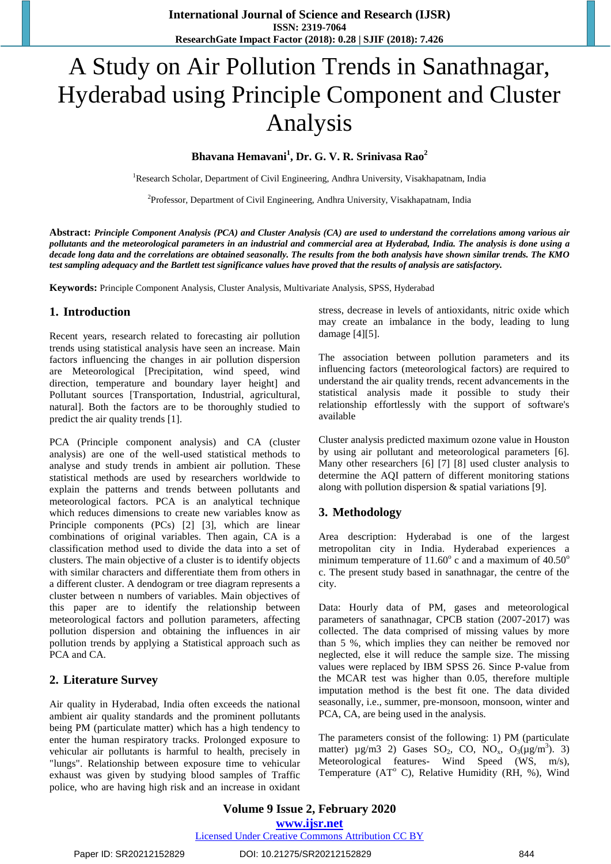# A Study on Air Pollution Trends in Sanathnagar, Hyderabad using Principle Component and Cluster Analysis

# **Bhavana Hemavani<sup>1</sup> , Dr. G. V. R. Srinivasa Rao<sup>2</sup>**

<sup>1</sup>Research Scholar, Department of Civil Engineering, Andhra University, Visakhapatnam, India

<sup>2</sup>Professor, Department of Civil Engineering, Andhra University, Visakhapatnam, India

**Abstract:** *Principle Component Analysis (PCA) and Cluster Analysis (CA) are used to understand the correlations among various air pollutants and the meteorological parameters in an industrial and commercial area at Hyderabad, India. The analysis is done using a decade long data and the correlations are obtained seasonally. The results from the both analysis have shown similar trends. The KMO test sampling adequacy and the Bartlett test significance values have proved that the results of analysis are satisfactory.*

**Keywords:** Principle Component Analysis, Cluster Analysis, Multivariate Analysis, SPSS, Hyderabad

#### **1. Introduction**

Recent years, research related to forecasting air pollution trends using statistical analysis have seen an increase. Main factors influencing the changes in air pollution dispersion are Meteorological [Precipitation, wind speed, wind direction, temperature and boundary layer height] and Pollutant sources [Transportation, Industrial, agricultural, natural]. Both the factors are to be thoroughly studied to predict the air quality trends [1].

PCA (Principle component analysis) and CA (cluster analysis) are one of the well-used statistical methods to analyse and study trends in ambient air pollution. These statistical methods are used by researchers worldwide to explain the patterns and trends between pollutants and meteorological factors. PCA is an analytical technique which reduces dimensions to create new variables know as Principle components (PCs) [2] [3], which are linear combinations of original variables. Then again, CA is a classification method used to divide the data into a set of clusters. The main objective of a cluster is to identify objects with similar characters and differentiate them from others in a different cluster. A dendogram or tree diagram represents a cluster between n numbers of variables. Main objectives of this paper are to identify the relationship between meteorological factors and pollution parameters, affecting pollution dispersion and obtaining the influences in air pollution trends by applying a Statistical approach such as PCA and CA.

# **2. Literature Survey**

Air quality in Hyderabad, India often exceeds the national ambient air quality standards and the prominent pollutants being PM (particulate matter) which has a high tendency to enter the human respiratory tracks. Prolonged exposure to vehicular air pollutants is harmful to health, precisely in "lungs". Relationship between exposure time to vehicular exhaust was given by studying blood samples of Traffic police, who are having high risk and an increase in oxidant stress, decrease in levels of antioxidants, nitric oxide which may create an imbalance in the body, leading to lung damage [4][5].

The association between pollution parameters and its influencing factors (meteorological factors) are required to understand the air quality trends, recent advancements in the statistical analysis made it possible to study their relationship effortlessly with the support of software's available

Cluster analysis predicted maximum ozone value in Houston by using air pollutant and meteorological parameters [6]. Many other researchers [6] [7] [8] used cluster analysis to determine the AQI pattern of different monitoring stations along with pollution dispersion & spatial variations [9].

# **3. Methodology**

Area description: Hyderabad is one of the largest metropolitan city in India. Hyderabad experiences a minimum temperature of  $11.60^\circ$  c and a maximum of  $40.50^\circ$ c. The present study based in sanathnagar, the centre of the city.

Data: Hourly data of PM, gases and meteorological parameters of sanathnagar, CPCB station (2007-2017) was collected. The data comprised of missing values by more than 5 %, which implies they can neither be removed nor neglected, else it will reduce the sample size. The missing values were replaced by IBM SPSS 26. Since P-value from the MCAR test was higher than 0.05, therefore multiple imputation method is the best fit one. The data divided seasonally, i.e., summer, pre-monsoon, monsoon, winter and PCA, CA, are being used in the analysis.

The parameters consist of the following: 1) PM (particulate matter)  $\mu$ g/m3 2) Gases SO<sub>2</sub>, CO, NO<sub>x</sub>, O<sub>3</sub>( $\mu$ g/m<sup>3</sup>). 3) Meteorological features- Wind Speed (WS, m/s), Temperature (AT $^{\circ}$  C), Relative Humidity (RH, %), Wind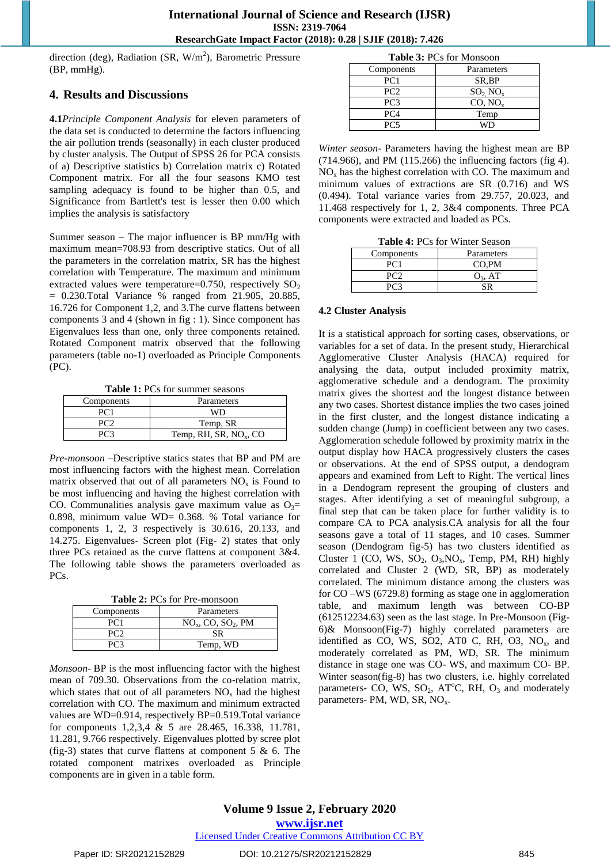direction (deg), Radiation (SR,  $W/m<sup>2</sup>$ ), Barometric Pressure (BP, mmHg).

### **4. Results and Discussions**

**4.1***Principle Component Analysis* for eleven parameters of the data set is conducted to determine the factors influencing the air pollution trends (seasonally) in each cluster produced by cluster analysis. The Output of SPSS 26 for PCA consists of a) Descriptive statistics b) Correlation matrix c) Rotated Component matrix. For all the four seasons KMO test sampling adequacy is found to be higher than 0.5, and Significance from Bartlett's test is lesser then 0.00 which implies the analysis is satisfactory

Summer season – The major influencer is BP mm/Hg with maximum mean=708.93 from descriptive statics. Out of all the parameters in the correlation matrix, SR has the highest correlation with Temperature. The maximum and minimum extracted values were temperature=0.750, respectively  $SO_2$ = 0.230.Total Variance % ranged from 21.905, 20.885, 16.726 for Component 1,2, and 3.The curve flattens between components 3 and 4 (shown in fig : 1). Since component has Eigenvalues less than one, only three components retained. Rotated Component matrix observed that the following parameters (table no-1) overloaded as Principle Components (PC).

**Table 1:** PCs for summer seasons

| Components | Parameters                         |  |
|------------|------------------------------------|--|
|            | WD                                 |  |
|            | Temp, SR                           |  |
|            | Temp, RH, SR, NO <sub>x</sub> , CO |  |

*Pre-monsoon* –Descriptive statics states that BP and PM are most influencing factors with the highest mean. Correlation matrix observed that out of all parameters  $NO<sub>x</sub>$  is Found to be most influencing and having the highest correlation with CO. Communalities analysis gave maximum value as  $O_3=$ 0.898, minimum value WD= 0.368. % Total variance for components 1, 2, 3 respectively is 30.616, 20.133, and 14.275. Eigenvalues- Screen plot (Fig- 2) states that only three PCs retained as the curve flattens at component 3&4. The following table shows the parameters overloaded as PCs.

**Table 2:** PCs for Pre-monsoon

| Components | Parameters                       |  |
|------------|----------------------------------|--|
| PC1        | $NOx$ , CO, SO <sub>2</sub> , PM |  |
|            | SR                               |  |
|            | Temp, WD                         |  |
|            |                                  |  |

*Monsoon-* BP is the most influencing factor with the highest mean of 709.30. Observations from the co-relation matrix, which states that out of all parameters  $NO<sub>x</sub>$  had the highest correlation with CO. The maximum and minimum extracted values are WD=0.914, respectively BP=0.519.Total variance for components 1,2,3,4 & 5 are 28.465, 16.338, 11.781, 11.281, 9.766 respectively. Eigenvalues plotted by scree plot (fig-3) states that curve flattens at component  $5 \& 6$ . The rotated component matrixes overloaded as Principle components are in given in a table form.

| <b>Table 3: PCs for Monsoon</b> |                        |  |
|---------------------------------|------------------------|--|
| Components                      | Parameters             |  |
| PC1                             | SR,BP                  |  |
| PC2                             | $SO_2$ NO <sub>x</sub> |  |
| PC <sub>3</sub>                 | CO, NO,                |  |
| PC <sub>4</sub>                 | Temp                   |  |
| PC5                             |                        |  |

*Winter season*- Parameters having the highest mean are BP (714.966), and PM (115.266) the influencing factors (fig 4).  $NO<sub>x</sub>$  has the highest correlation with CO. The maximum and minimum values of extractions are SR (0.716) and WS (0.494). Total variance varies from 29.757, 20.023, and 11.468 respectively for 1, 2, 3&4 components. Three PCA components were extracted and loaded as PCs.

**Table 4:** PCs for Winter Season

| Components | Parameters |  |
|------------|------------|--|
|            | CO,PM      |  |
|            | $O_3$ , AT |  |
|            |            |  |
|            |            |  |

#### **4.2 Cluster Analysis**

It is a statistical approach for sorting cases, observations, or variables for a set of data. In the present study, Hierarchical Agglomerative Cluster Analysis (HACA) required for analysing the data, output included proximity matrix, agglomerative schedule and a dendogram. The proximity matrix gives the shortest and the longest distance between any two cases. Shortest distance implies the two cases joined in the first cluster, and the longest distance indicating a sudden change (Jump) in coefficient between any two cases. Agglomeration schedule followed by proximity matrix in the output display how HACA progressively clusters the cases or observations. At the end of SPSS output, a dendogram appears and examined from Left to Right. The vertical lines in a Dendogram represent the grouping of clusters and stages. After identifying a set of meaningful subgroup, a final step that can be taken place for further validity is to compare CA to PCA analysis.CA analysis for all the four seasons gave a total of 11 stages, and 10 cases. Summer season (Dendogram fig-5) has two clusters identified as Cluster 1 (CO, WS,  $SO_2$ ,  $O_3$ ,  $NO_x$ , Temp, PM, RH) highly correlated and Cluster 2 (WD, SR, BP) as moderately correlated. The minimum distance among the clusters was for CO –WS (6729.8) forming as stage one in agglomeration table, and maximum length was between CO-BP (612512234.63) seen as the last stage. In Pre-Monsoon (Fig-6)& Monsoon(Fig-7) highly correlated parameters are identified as CO, WS, SO2, AT0 C, RH, O3,  $NO<sub>x</sub>$ , and moderately correlated as PM, WD, SR. The minimum distance in stage one was CO- WS, and maximum CO- BP. Winter season(fig-8) has two clusters, i.e. highly correlated parameters- CO, WS,  $SO_2$ , AT<sup>o</sup>C, RH,  $O_3$  and moderately parameters- PM, WD, SR, NO<sub>x</sub>.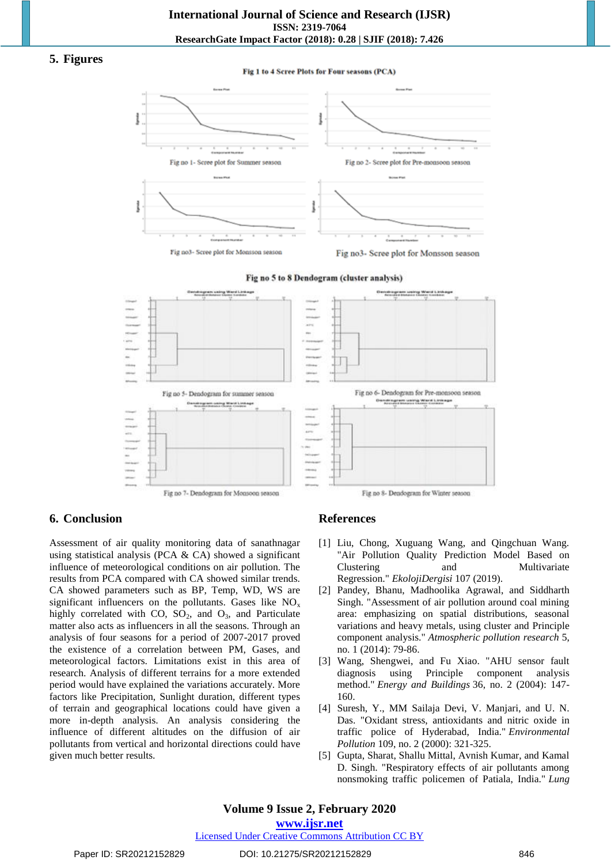#### **5. Figures**

Fig 1 to 4 Scree Plots for Four seasons (PCA)



Fig no 5 to 8 Dendogram (cluster analysis)



# **6. Conclusion**

Assessment of air quality monitoring data of sanathnagar using statistical analysis (PCA & CA) showed a significant influence of meteorological conditions on air pollution. The results from PCA compared with CA showed similar trends. CA showed parameters such as BP, Temp, WD, WS are significant influencers on the pollutants. Gases like  $NO<sub>x</sub>$ highly correlated with CO,  $SO_2$ , and  $O_3$ , and Particulate matter also acts as influencers in all the seasons. Through an analysis of four seasons for a period of 2007-2017 proved the existence of a correlation between PM, Gases, and meteorological factors. Limitations exist in this area of research. Analysis of different terrains for a more extended period would have explained the variations accurately. More factors like Precipitation, Sunlight duration, different types of terrain and geographical locations could have given a more in-depth analysis. An analysis considering the influence of different altitudes on the diffusion of air pollutants from vertical and horizontal directions could have given much better results.

# **References**

- [1] Liu, Chong, Xuguang Wang, and Qingchuan Wang. "Air Pollution Quality Prediction Model Based on Clustering and Multivariate Regression." *EkolojiDergisi* 107 (2019).
- [2] Pandey, Bhanu, Madhoolika Agrawal, and Siddharth Singh. "Assessment of air pollution around coal mining area: emphasizing on spatial distributions, seasonal variations and heavy metals, using cluster and Principle component analysis." *Atmospheric pollution research* 5, no. 1 (2014): 79-86.
- [3] Wang, Shengwei, and Fu Xiao. "AHU sensor fault diagnosis using Principle component analysis method." *Energy and Buildings* 36, no. 2 (2004): 147- 160.
- [4] Suresh, Y., MM Sailaja Devi, V. Manjari, and U. N. Das. "Oxidant stress, antioxidants and nitric oxide in traffic police of Hyderabad, India." *Environmental Pollution* 109, no. 2 (2000): 321-325.
- [5] Gupta, Sharat, Shallu Mittal, Avnish Kumar, and Kamal D. Singh. "Respiratory effects of air pollutants among nonsmoking traffic policemen of Patiala, India." *Lung*

# **Volume 9 Issue 2, February 2020**

**www.ijsr.net**

Licensed Under Creative Commons Attribution CC BY